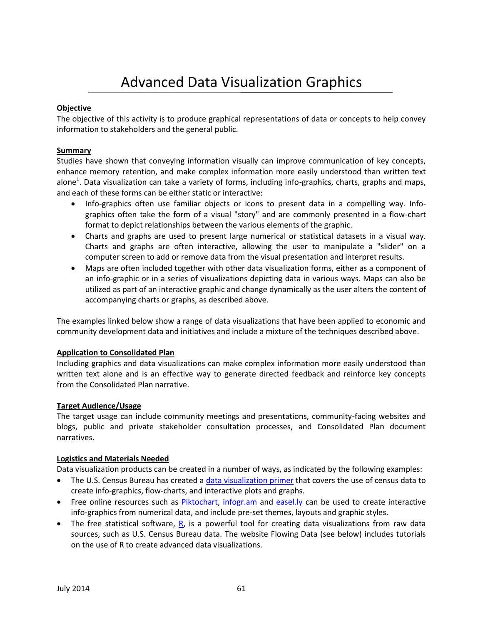# Advanced Data Visualization Graphics

## **Objective**

The objective of this activity is to produce graphical representations of data or concepts to help convey information to stakeholders and the general public.

### **Summary**

Studies have shown that conveying information visually can improve communication of key concepts, enhance memory retention, and make complex information more easily understood than written text alone<sup>1</sup>. Data visualization can take a variety of forms, including info-graphics, charts, graphs and maps, and each of these forms can be either static or interactive:

- Info-graphics often use familiar objects or icons to present data in a compelling way. Infographics often take the form of a visual "story" and are commonly presented in a flow-chart format to depict relationships between the various elements of the graphic.
- Charts and graphs are used to present large numerical or statistical datasets in a visual way. Charts and graphs are often interactive, allowing the user to manipulate a "slider" on a computer screen to add or remove data from the visual presentation and interpret results.
- Maps are often included together with other data visualization forms, either as a component of an info-graphic or in a series of visualizations depicting data in various ways. Maps can also be utilized as part of an interactive graphic and change dynamically as the user alters the content of accompanying charts or graphs, as described above.

The examples linked below show a range of data visualizations that have been applied to economic and community development data and initiatives and include a mixture of the techniques described above.

### **Application to Consolidated Plan**

Including graphics and data visualizations can make complex information more easily understood than written text alone and is an effective way to generate directed feedback and reinforce key concepts from the Consolidated Plan narrative.

### **Target Audience/Usage**

The target usage can include community meetings and presentations, community-facing websites and blogs, public and private stakeholder consultation processes, and Consolidated Plan document narratives.

#### **Logistics and Materials Needed**

Data visualization products can be created in a number of ways, as indicated by the following examples:

- The U.S. Census Bureau has created a [data visualization primer](http://www2.census.gov/govs/pubs/research_reports/data_visualization.pdf) that covers the use of census data to create info-graphics, flow-charts, and interactive plots and graphs.
- Free online resources such as [Piktochart,](http://piktochart.com/) [infogr.am](http://infogr.am/) and [easel.ly](http://www.easel.ly/) can be used to create interactive info-graphics from numerical data, and include pre-set themes, layouts and graphic styles.
- The free statistical software,  $R$ , is a powerful tool for creating data visualizations from raw data sources, such as U.S. Census Bureau data. The website Flowing Data (see below) includes tutorials on the use of R to create advanced data visualizations.